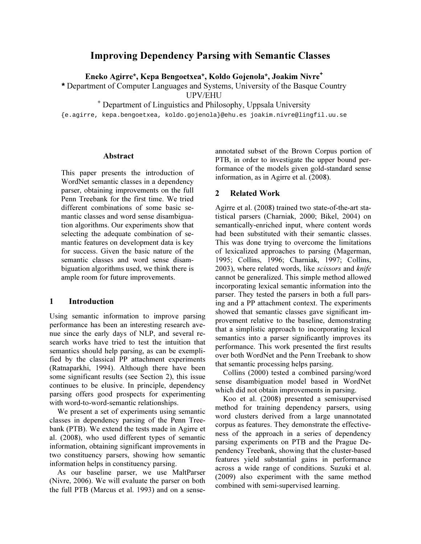# Improving Dependency Parsing with Semantic Classes

Eneko Agirre\*, Kepa Bengoetxea\*, Koldo Gojenola\*, Joakim Nivre**<sup>+</sup>**

**\*** Department of Computer Languages and Systems, University of the Basque Country

UPV/EHU

+ Department of Linguistics and Philosophy, Uppsala University

{e.agirre, kepa.bengoetxea, koldo.gojenola}@ehu.es joakim.nivre@lingfil.uu.se

#### Abstract

This paper presents the introduction of WordNet semantic classes in a dependency parser, obtaining improvements on the full Penn Treebank for the first time. We tried different combinations of some basic semantic classes and word sense disambiguation algorithms. Our experiments show that selecting the adequate combination of semantic features on development data is key for success. Given the basic nature of the semantic classes and word sense disambiguation algorithms used, we think there is ample room for future improvements.

## 1 Introduction

Using semantic information to improve parsing performance has been an interesting research avenue since the early days of NLP, and several research works have tried to test the intuition that semantics should help parsing, as can be exemplified by the classical PP attachment experiments (Ratnaparkhi, 1994). Although there have been some significant results (see Section 2), this issue continues to be elusive. In principle, dependency parsing offers good prospects for experimenting with word-to-word-semantic relationships.

We present a set of experiments using semantic classes in dependency parsing of the Penn Treebank (PTB). We extend the tests made in Agirre et al. (2008), who used different types of semantic information, obtaining significant improvements in two constituency parsers, showing how semantic information helps in constituency parsing.

As our baseline parser, we use MaltParser (Nivre, 2006). We will evaluate the parser on both the full PTB (Marcus et al. 1993) and on a senseannotated subset of the Brown Corpus portion of PTB, in order to investigate the upper bound performance of the models given gold-standard sense information, as in Agirre et al. (2008).

## 2 Related Work

Agirre et al. (2008) trained two state-of-the-art statistical parsers (Charniak, 2000; Bikel, 2004) on semantically-enriched input, where content words had been substituted with their semantic classes. This was done trying to overcome the limitations of lexicalized approaches to parsing (Magerman, 1995; Collins, 1996; Charniak, 1997; Collins, 2003), where related words, like scissors and knife cannot be generalized. This simple method allowed incorporating lexical semantic information into the parser. They tested the parsers in both a full parsing and a PP attachment context. The experiments showed that semantic classes gave significant improvement relative to the baseline, demonstrating that a simplistic approach to incorporating lexical semantics into a parser significantly improves its performance. This work presented the first results over both WordNet and the Penn Treebank to show that semantic processing helps parsing.

Collins (2000) tested a combined parsing/word sense disambiguation model based in WordNet which did not obtain improvements in parsing.

Koo et al. (2008) presented a semisupervised method for training dependency parsers, using word clusters derived from a large unannotated corpus as features. They demonstrate the effectiveness of the approach in a series of dependency parsing experiments on PTB and the Prague Dependency Treebank, showing that the cluster-based features yield substantial gains in performance across a wide range of conditions. Suzuki et al. (2009) also experiment with the same method combined with semi-supervised learning.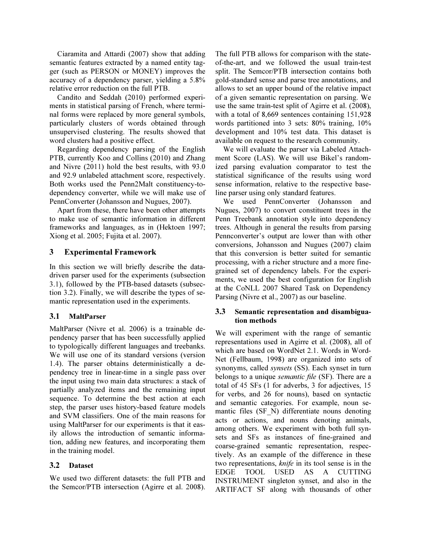Ciaramita and Attardi (2007) show that adding semantic features extracted by a named entity tagger (such as PERSON or MONEY) improves the accuracy of a dependency parser, yielding a 5.8% relative error reduction on the full PTB.

Candito and Seddah (2010) performed experiments in statistical parsing of French, where terminal forms were replaced by more general symbols, particularly clusters of words obtained through unsupervised clustering. The results showed that word clusters had a positive effect.

Regarding dependency parsing of the English PTB, currently Koo and Collins (2010) and Zhang and Nivre (2011) hold the best results, with 93.0 and 92.9 unlabeled attachment score, respectively. Both works used the Penn2Malt constituency-todependency converter, while we will make use of PennConverter (Johansson and Nugues, 2007).

Apart from these, there have been other attempts to make use of semantic information in different frameworks and languages, as in (Hektoen 1997; Xiong et al. 2005; Fujita et al. 2007).

# 3 Experimental Framework

In this section we will briefly describe the datadriven parser used for the experiments (subsection 3.1), followed by the PTB-based datasets (subsection 3.2). Finally, we will describe the types of semantic representation used in the experiments.

# 3.1 MaltParser

MaltParser (Nivre et al. 2006) is a trainable dependency parser that has been successfully applied to typologically different languages and treebanks. We will use one of its standard versions (version 1.4). The parser obtains deterministically a dependency tree in linear-time in a single pass over the input using two main data structures: a stack of partially analyzed items and the remaining input sequence. To determine the best action at each step, the parser uses history-based feature models and SVM classifiers. One of the main reasons for using MaltParser for our experiments is that it easily allows the introduction of semantic information, adding new features, and incorporating them in the training model.

# 3.2 Dataset

We used two different datasets: the full PTB and the Semcor/PTB intersection (Agirre et al. 2008). The full PTB allows for comparison with the stateof-the-art, and we followed the usual train-test split. The Semcor/PTB intersection contains both gold-standard sense and parse tree annotations, and allows to set an upper bound of the relative impact of a given semantic representation on parsing. We use the same train-test split of Agirre et al. (2008), with a total of 8,669 sentences containing 151,928 words partitioned into 3 sets: 80% training, 10% development and 10% test data. This dataset is available on request to the research community.

We will evaluate the parser via Labeled Attachment Score (LAS). We will use Bikel's randomized parsing evaluation comparator to test the statistical significance of the results using word sense information, relative to the respective baseline parser using only standard features.

We used PennConverter (Johansson and Nugues, 2007) to convert constituent trees in the Penn Treebank annotation style into dependency trees. Although in general the results from parsing Pennconverter's output are lower than with other conversions, Johansson and Nugues (2007) claim that this conversion is better suited for semantic processing, with a richer structure and a more finegrained set of dependency labels. For the experiments, we used the best configuration for English at the CoNLL 2007 Shared Task on Dependency Parsing (Nivre et al., 2007) as our baseline.

# 3.3 Semantic representation and disambiguation methods

We will experiment with the range of semantic representations used in Agirre et al. (2008), all of which are based on WordNet 2.1. Words in Word-Net (Fellbaum, 1998) are organized into sets of synonyms, called *synsets* (SS). Each synset in turn belongs to a unique *semantic file* (SF). There are a total of 45 SFs (1 for adverbs, 3 for adjectives, 15 for verbs, and 26 for nouns), based on syntactic and semantic categories. For example, noun semantic files (SF\_N) differentiate nouns denoting acts or actions, and nouns denoting animals, among others. We experiment with both full synsets and SFs as instances of fine-grained and coarse-grained semantic representation, respectively. As an example of the difference in these two representations, knife in its tool sense is in the EDGE TOOL USED AS A CUTTING INSTRUMENT singleton synset, and also in the ARTIFACT SF along with thousands of other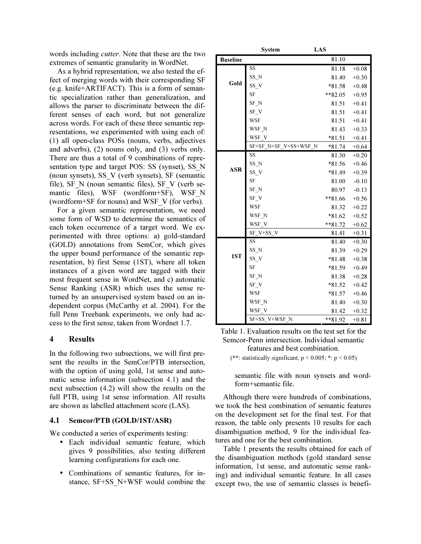words including cutter. Note that these are the two extremes of semantic granularity in WordNet.

As a hybrid representation, we also tested the effect of merging words with their corresponding SF (e.g. knife+ARTIFACT). This is a form of semantic specialization rather than generalization, and allows the parser to discriminate between the different senses of each word, but not generalize across words. For each of these three semantic representations, we experimented with using each of: (1) all open-class POSs (nouns, verbs, adjectives and adverbs), (2) nouns only, and (3) verbs only. There are thus a total of 9 combinations of representation type and target POS: SS (synset), SS\_N (noun synsets), SS\_V (verb synsets), SF (semantic file), SF N (noun semantic files), SF V (verb semantic files), WSF (wordform+SF), WSF\_N (wordform+SF for nouns) and WSF\_V (for verbs).

For a given semantic representation, we need some form of WSD to determine the semantics of each token occurrence of a target word. We experimented with three options: a) gold-standard (GOLD) annotations from SemCor, which gives the upper bound performance of the semantic representation, b) first Sense (1ST), where all token instances of a given word are tagged with their most frequent sense in WordNet, and c) automatic Sense Ranking (ASR) which uses the sense returned by an unsupervised system based on an independent corpus (McCarthy et al. 2004). For the full Penn Treebank experiments, we only had access to the first sense, taken from Wordnet 1.7.

#### 4 Results

In the following two subsections, we will first present the results in the SemCor/PTB intersection, with the option of using gold, 1st sense and automatic sense information (subsection 4.1) and the next subsection (4.2) will show the results on the full PTB, using 1st sense information. All results are shown as labelled attachment score (LAS).

### 4.1 Semcor/PTB (GOLD/1ST/ASR)

We conducted a series of experiments testing:

- Each individual semantic feature, which gives 9 possibilities, also testing different learning configurations for each one.
- Combinations of semantic features, for instance, SF+SS\_N+WSF would combine the

|                 | System                | LAS      |         |
|-----------------|-----------------------|----------|---------|
| <b>Baseline</b> |                       | 81.10    |         |
| Gold            | SS                    | 81.18    | $+0.08$ |
|                 | SS N                  | 81.40    | $+0.30$ |
|                 | $SS_V$                | $*81.58$ | $+0.48$ |
|                 | <b>SF</b>             | $*82.05$ | $+0.95$ |
|                 | SF N                  | 81.51    | $+0.41$ |
|                 | $SF_V$                | 81.51    | $+0.41$ |
|                 | <b>WSF</b>            | 81.51    | $+0.41$ |
|                 | WSF N                 | 81.43    | $+0.33$ |
|                 | WSF_V                 | *81.51   | $+0.41$ |
|                 | SF+SF_N+SF_V+SS+WSF_N | $*81.74$ | $+0.64$ |
| ASR             | SS                    | 81.30    | $+0.20$ |
|                 | $SS_N$                | $*81.56$ | $+0.46$ |
|                 | SS V                  | $*81.49$ | $+0.39$ |
|                 | SF                    | 81.00    | $-0.10$ |
|                 | SF N                  | 80.97    | $-0.13$ |
|                 | $SF_V$                | **81.66  | $+0.56$ |
|                 | <b>WSF</b>            | 81.32    | $+0.22$ |
|                 | WSF N                 | $*81.62$ | $+0.52$ |
|                 | WSF_V                 | **81.72  | $+0.62$ |
|                 | SF V+SS V             | 81.41    | $+0.31$ |
| 1ST             | SS                    | 81.40    | $+0.30$ |
|                 | SS_N                  | 81.39    | $+0.29$ |
|                 | $SS_V$                | $*81.48$ | $+0.38$ |
|                 | SF                    | $*81.59$ | $+0.49$ |
|                 | $SF_N$                | 81.38    | $+0.28$ |
|                 | SF V                  | $*81.52$ | $+0.42$ |
|                 | WSF                   | $*81.57$ | $+0.46$ |
|                 | WSF_N                 | 81.40    | $+0.30$ |
|                 | WSF V                 | 81.42    | $+0.32$ |
|                 | SF+SS V+WSF N         | **81.92  | $+0.81$ |

Table 1. Evaluation results on the test set for the Semcor-Penn intersection. Individual semantic features and best combination.

(\*\*: statistically significant,  $p < 0.005$ ; \*:  $p < 0.05$ )

semantic file with noun synsets and wordform+semantic file.

Although there were hundreds of combinations, we took the best combination of semantic features on the development set for the final test. For that reason, the table only presents 10 results for each disambiguation method, 9 for the individual features and one for the best combination.

Table 1 presents the results obtained for each of the disambiguation methods (gold standard sense information, 1st sense, and automatic sense ranking) and individual semantic feature. In all cases except two, the use of semantic classes is benefi-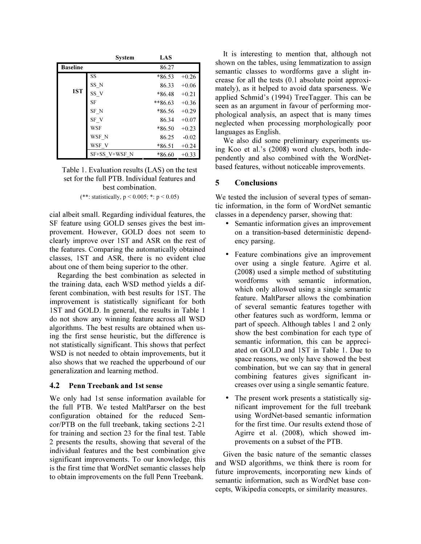|                 | <b>System</b> | LAS      |         |
|-----------------|---------------|----------|---------|
| <b>Baseline</b> |               | 86.27    |         |
|                 | SS            | *86.53   | $+0.26$ |
|                 | SS_N          | 86.33    | $+0.06$ |
| 1ST             | SS V          | *86.48   | $+0.21$ |
|                 | <b>SF</b>     | **86.63  | $+0.36$ |
|                 | SF N          | *86.56   | $+0.29$ |
|                 | SF V          | 86.34    | $+0.07$ |
|                 | <b>WSF</b>    | $*86.50$ | $+0.23$ |
|                 | WSF N         | 86.25    | $-0.02$ |
|                 | WSF V         | $*86.51$ | $+0.24$ |
|                 | SF+SS V+WSF N | *86.60   | $+0.33$ |

Table 1. Evaluation results (LAS) on the test set for the full PTB. Individual features and best combination.

(\*\*: statistically,  $p < 0.005$ ; \*:  $p < 0.05$ )

cial albeit small. Regarding individual features, the SF feature using GOLD senses gives the best improvement. However, GOLD does not seem to clearly improve over 1ST and ASR on the rest of the features. Comparing the automatically obtained classes, 1ST and ASR, there is no evident clue about one of them being superior to the other.

Regarding the best combination as selected in the training data, each WSD method yields a different combination, with best results for 1ST. The improvement is statistically significant for both 1ST and GOLD. In general, the results in Table 1 do not show any winning feature across all WSD algorithms. The best results are obtained when using the first sense heuristic, but the difference is not statistically significant. This shows that perfect WSD is not needed to obtain improvements, but it also shows that we reached the upperbound of our generalization and learning method.

### 4.2 Penn Treebank and 1st sense

We only had 1st sense information available for the full PTB. We tested MaltParser on the best configuration obtained for the reduced Semcor/PTB on the full treebank, taking sections 2-21 for training and section 23 for the final test. Table 2 presents the results, showing that several of the individual features and the best combination give significant improvements. To our knowledge, this is the first time that WordNet semantic classes help to obtain improvements on the full Penn Treebank.

It is interesting to mention that, although not shown on the tables, using lemmatization to assign semantic classes to wordforms gave a slight increase for all the tests (0.1 absolute point approximately), as it helped to avoid data sparseness. We applied Schmid's (1994) TreeTagger. This can be seen as an argument in favour of performing morphological analysis, an aspect that is many times neglected when processing morphologically poor languages as English.

We also did some preliminary experiments using Koo et al.'s (2008) word clusters, both independently and also combined with the WordNetbased features, without noticeable improvements.

# 5 Conclusions

We tested the inclusion of several types of semantic information, in the form of WordNet semantic classes in a dependency parser, showing that:

- Semantic information gives an improvement on a transition-based deterministic dependency parsing.
- Feature combinations give an improvement over using a single feature. Agirre et al. (2008) used a simple method of substituting wordforms with semantic information, which only allowed using a single semantic feature. MaltParser allows the combination of several semantic features together with other features such as wordform, lemma or part of speech. Although tables 1 and 2 only show the best combination for each type of semantic information, this can be appreciated on GOLD and 1ST in Table 1. Due to space reasons, we only have showed the best combination, but we can say that in general combining features gives significant increases over using a single semantic feature.
- The present work presents a statistically significant improvement for the full treebank using WordNet-based semantic information for the first time. Our results extend those of Agirre et al. (2008), which showed improvements on a subset of the PTB.

Given the basic nature of the semantic classes and WSD algorithms, we think there is room for future improvements, incorporating new kinds of semantic information, such as WordNet base concepts, Wikipedia concepts, or similarity measures.